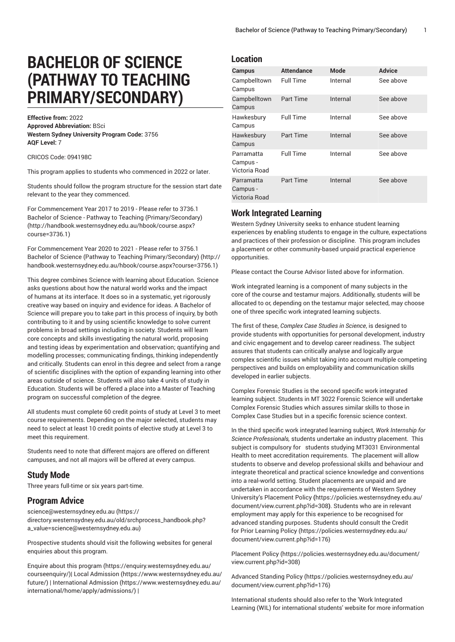# **BACHELOR OF SCIENCE (PATHWAY TO TEACHING PRIMARY/SECONDARY)**

**Effective from:** 2022 **Approved Abbreviation:** BSci **Western Sydney University Program Code:** 3756 **AQF Level:** 7

CRICOS Code: 094198C

This program applies to students who commenced in 2022 or later.

Students should follow the program structure for the session start date relevant to the year they commenced.

For [Commencement](http://handbook.westernsydney.edu.au/hbook/course.aspx?course=3736.1) Year 2017 to 2019 - Please refer to 3736.1 Bachelor of Science - Pathway to Teaching [\(Primary/Secondary\)](http://handbook.westernsydney.edu.au/hbook/course.aspx?course=3736.1) ([http://handbook.westernsydney.edu.au/hbook/course.aspx?](http://handbook.westernsydney.edu.au/hbook/course.aspx?course=3736.1) [course=3736.1\)](http://handbook.westernsydney.edu.au/hbook/course.aspx?course=3736.1)

For [Commencement](http://handbook.westernsydney.edu.au/hbook/course.aspx?course=3756.1) Year 2020 to 2021 - Please refer to 3756.1 Bachelor of Science (Pathway to Teaching [Primary/Secondary\) \(http://](http://handbook.westernsydney.edu.au/hbook/course.aspx?course=3756.1) [handbook.westernsydney.edu.au/hbook/course.aspx?course=3756.1\)](http://handbook.westernsydney.edu.au/hbook/course.aspx?course=3756.1)

This degree combines Science with learning about Education. Science asks questions about how the natural world works and the impact of humans at its interface. It does so in a systematic, yet rigorously creative way based on inquiry and evidence for ideas. A Bachelor of Science will prepare you to take part in this process of inquiry, by both contributing to it and by using scientific knowledge to solve current problems in broad settings including in society. Students will learn core concepts and skills investigating the natural world, proposing and testing ideas by experimentation and observation; quantifying and modelling processes; communicating findings, thinking independently and critically. Students can enrol in this degree and select from a range of scientific disciplines with the option of expanding learning into other areas outside of science. Students will also take 4 units of study in Education. Students will be offered a place into a Master of Teaching program on successful completion of the degree.

All students must complete 60 credit points of study at Level 3 to meet course requirements. Depending on the major selected, students may need to select at least 10 credit points of elective study at Level 3 to meet this requirement.

Students need to note that different majors are offered on different campuses, and not all majors will be offered at every campus.

### **Study Mode**

Three years full-time or six years part-time.

### **Program Advice**

[science@westernsydney.edu.au \(https://](https://directory.westernsydney.edu.au/old/srchprocess_handbook.php?a_value=science@westernsydney.edu.au) [directory.westernsydney.edu.au/old/srchprocess\\_handbook.php?](https://directory.westernsydney.edu.au/old/srchprocess_handbook.php?a_value=science@westernsydney.edu.au) [a\\_value=science@westernsydney.edu.au](https://directory.westernsydney.edu.au/old/srchprocess_handbook.php?a_value=science@westernsydney.edu.au))

Prospective students should visit the following websites for general enquiries about this program.

Enquire about this [program \(https://enquiry.westernsydney.edu.au/](https://enquiry.westernsydney.edu.au/courseenquiry/) [courseenquiry/](https://enquiry.westernsydney.edu.au/courseenquiry/))| [Local Admission \(https://www.westernsydney.edu.au/](https://www.westernsydney.edu.au/future/) [future/\)](https://www.westernsydney.edu.au/future/) | [International Admission](https://www.westernsydney.edu.au/international/home/apply/admissions/) ([https://www.westernsydney.edu.au/](https://www.westernsydney.edu.au/international/home/apply/admissions/) [international/home/apply/admissions/](https://www.westernsydney.edu.au/international/home/apply/admissions/)) |

### **Location**

| Campus                                  | <b>Attendance</b> | <b>Mode</b> | <b>Advice</b> |
|-----------------------------------------|-------------------|-------------|---------------|
| Campbelltown<br>Campus                  | <b>Full Time</b>  | Internal    | See above     |
| Campbelltown<br>Campus                  | Part Time         | Internal    | See above     |
| Hawkesbury<br>Campus                    | <b>Full Time</b>  | Internal    | See above     |
| Hawkesbury<br>Campus                    | Part Time         | Internal    | See above     |
| Parramatta<br>Campus -<br>Victoria Road | <b>Full Time</b>  | Internal    | See above     |
| Parramatta<br>Campus -<br>Victoria Road | Part Time         | Internal    | See above     |

### **Work Integrated Learning**

Western Sydney University seeks to enhance student learning experiences by enabling students to engage in the culture, expectations and practices of their profession or discipline. This program includes a placement or other community-based unpaid practical experience opportunities.

Please contact the Course Advisor listed above for information.

Work integrated learning is a component of many subjects in the core of the course and testamur majors. Additionally, students will be allocated to or, depending on the testamur major selected, may choose one of three specific work integrated learning subjects.

The first of these, *Complex Case Studies in Science*, is designed to provide students with opportunities for personal development, industry and civic engagement and to develop career readiness. The subject assures that students can critically analyse and logically argue complex scientific issues whilst taking into account multiple competing perspectives and builds on employability and communication skills developed in earlier subjects.

Complex Forensic Studies is the second specific work integrated learning subject. Students in MT 3022 Forensic Science will undertake Complex Forensic Studies which assures similar skills to those in Complex Case Studies but in a specific forensic science context.

In the third specific work integrated learning subject, *Work Internship for Science Professionals,* students undertake an industry placement. This subject is compulsory for students studying MT3031 Environmental Health to meet accreditation requirements. The placement will allow students to observe and develop professional skills and behaviour and integrate theoretical and practical science knowledge and conventions into a real-world setting. Student placements are unpaid and are undertaken in accordance with the requirements of Western Sydney University's [Placement](https://policies.westernsydney.edu.au/document/view.current.php?id=308) Policy **(**[https://policies.westernsydney.edu.au/](https://policies.westernsydney.edu.au/document/view.current.php?id=308) [document/view.current.php?id=308](https://policies.westernsydney.edu.au/document/view.current.php?id=308)**)**. Students who are in relevant employment may apply for this experience to be recognised for advanced standing purposes. Students should consult the [Credit](https://policies.westernsydney.edu.au/document/view.current.php?id=176) for Prior [Learning](https://policies.westernsydney.edu.au/document/view.current.php?id=176) Policy [\(https://policies.westernsydney.edu.au/](https://policies.westernsydney.edu.au/document/view.current.php?id=176) [document/view.current.php?id=176\)](https://policies.westernsydney.edu.au/document/view.current.php?id=176)

[Placement](https://policies.westernsydney.edu.au/document/view.current.php?id=308) Policy [\(https://policies.westernsydney.edu.au/document/](https://policies.westernsydney.edu.au/document/view.current.php?id=308) [view.current.php?id=308\)](https://policies.westernsydney.edu.au/document/view.current.php?id=308)

[Advanced](https://policies.westernsydney.edu.au/document/view.current.php?id=176) Standing Policy ([https://policies.westernsydney.edu.au/](https://policies.westernsydney.edu.au/document/view.current.php?id=176) [document/view.current.php?id=176\)](https://policies.westernsydney.edu.au/document/view.current.php?id=176)

International students should also refer to the 'Work Integrated Learning (WIL) for international students' website for more information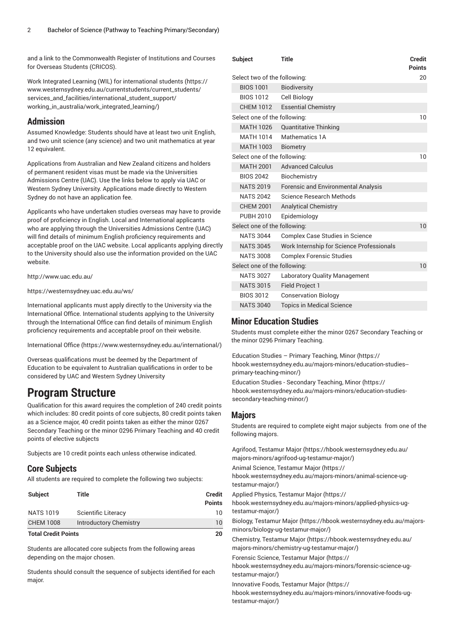and a link to the Commonwealth Register of Institutions and Courses for Overseas Students (CRICOS).

Work Integrated Learning (WIL) for [international](https://www.westernsydney.edu.au/currentstudents/current_students/services_and_facilities/international_student_support/working_in_australia/work_integrated_learning/) students [\(https://](https://www.westernsydney.edu.au/currentstudents/current_students/services_and_facilities/international_student_support/working_in_australia/work_integrated_learning/) [www.westernsydney.edu.au/currentstudents/current\\_students/](https://www.westernsydney.edu.au/currentstudents/current_students/services_and_facilities/international_student_support/working_in_australia/work_integrated_learning/) [services\\_and\\_facilities/international\\_student\\_support/](https://www.westernsydney.edu.au/currentstudents/current_students/services_and_facilities/international_student_support/working_in_australia/work_integrated_learning/) [working\\_in\\_australia/work\\_integrated\\_learning/\)](https://www.westernsydney.edu.au/currentstudents/current_students/services_and_facilities/international_student_support/working_in_australia/work_integrated_learning/)

### **Admission**

Assumed Knowledge: Students should have at least two unit English, and two unit science (any science) and two unit mathematics at year 12 equivalent.

Applications from Australian and New Zealand citizens and holders of permanent resident visas must be made via the Universities Admissions Centre (UAC). Use the links below to apply via UAC or Western Sydney University. Applications made directly to Western Sydney do not have an application fee.

Applicants who have undertaken studies overseas may have to provide proof of proficiency in English. Local and International applicants who are applying through the Universities Admissions Centre (UAC) will find details of minimum English proficiency requirements and acceptable proof on the UAC website. Local applicants applying directly to the University should also use the information provided on the UAC website.

<http://www.uac.edu.au/>

<https://westernsydney.uac.edu.au/ws/>

International applicants must apply directly to the University via the International Office. International students applying to the University through the International Office can find details of minimum English proficiency requirements and acceptable proof on their website.

[International Office \(https://www.westernsydney.edu.au/international/\)](https://www.westernsydney.edu.au/international/)

Overseas qualifications must be deemed by the Department of Education to be equivalent to Australian qualifications in order to be considered by UAC and Western Sydney University

## **Program Structure**

Qualification for this award requires the completion of 240 credit points which includes: 80 credit points of core subjects, 80 credit points taken as a Science major, 40 credit points taken as either the minor 0267 Secondary Teaching or the minor 0296 Primary Teaching and 40 credit points of elective subjects

Subjects are 10 credit points each unless otherwise indicated.

### **Core Subjects**

All students are required to complete the following two subjects:

| <b>Subject</b>             | Title                         | <b>Credit</b><br><b>Points</b> |
|----------------------------|-------------------------------|--------------------------------|
| <b>NATS 1019</b>           | Scientific Literacy           | 10                             |
| <b>CHEM 1008</b>           | <b>Introductory Chemistry</b> | 10                             |
| <b>Total Credit Points</b> |                               | 20                             |

Students are allocated core subjects from the following areas depending on the major chosen.

Students should consult the sequence of subjects identified for each major.

| <b>Subject</b>               | <b>Title</b>                               | <b>Credit</b><br><b>Points</b> |
|------------------------------|--------------------------------------------|--------------------------------|
| Select two of the following: |                                            | 20                             |
| <b>BIOS 1001</b>             | <b>Biodiversity</b>                        |                                |
| BIOS 1012                    | Cell Biology                               |                                |
|                              | CHEM 1012 Essential Chemistry              |                                |
| Select one of the following: |                                            |                                |
| <b>MATH 1026</b>             | <b>Quantitative Thinking</b>               |                                |
| <b>MATH 1014</b>             | Mathematics 1A                             |                                |
| MATH 1003                    | <b>Biometry</b>                            |                                |
| Select one of the following: |                                            |                                |
| <b>MATH 2001</b>             | <b>Advanced Calculus</b>                   |                                |
| <b>BIOS 2042</b>             | Biochemistry                               |                                |
| <b>NATS 2019</b>             | <b>Forensic and Environmental Analysis</b> |                                |
| <b>NATS 2042</b>             | Science Research Methods                   |                                |
| <b>CHEM 2001</b>             | <b>Analytical Chemistry</b>                |                                |
| <b>PUBH 2010</b>             | Epidemiology                               |                                |
| Select one of the following: |                                            |                                |
| <b>NATS 3044</b>             | Complex Case Studies in Science            |                                |
| <b>NATS 3045</b>             | Work Internship for Science Professionals  |                                |
| <b>NATS 3008</b>             | <b>Complex Forensic Studies</b>            |                                |
| Select one of the following: |                                            | 10                             |
| <b>NATS 3027</b>             | <b>Laboratory Quality Management</b>       |                                |
| <b>NATS 3015</b>             | <b>Field Project 1</b>                     |                                |
| <b>BIOS 3012</b>             | <b>Conservation Biology</b>                |                                |
| <b>NATS 3040</b>             | <b>Topics in Medical Science</b>           |                                |

### **Minor Education Studies**

Students must complete either the minor 0267 Secondary Teaching or the minor 0296 Primary Teaching.

[Education](https://hbook.westernsydney.edu.au/majors-minors/education-studies--primary-teaching-minor/) Studies – Primary Teaching, Minor [\(https://](https://hbook.westernsydney.edu.au/majors-minors/education-studies--primary-teaching-minor/) [hbook.westernsydney.edu.au/majors-minors/education-studies-](https://hbook.westernsydney.edu.au/majors-minors/education-studies--primary-teaching-minor/) [primary-teaching-minor/](https://hbook.westernsydney.edu.au/majors-minors/education-studies--primary-teaching-minor/)) Education Studies - [Secondary](https://hbook.westernsydney.edu.au/majors-minors/education-studies-secondary-teaching-minor/) Teaching, Minor ([https://](https://hbook.westernsydney.edu.au/majors-minors/education-studies-secondary-teaching-minor/)

[hbook.westernsydney.edu.au/majors-minors/education-studies](https://hbook.westernsydney.edu.au/majors-minors/education-studies-secondary-teaching-minor/)[secondary-teaching-minor/](https://hbook.westernsydney.edu.au/majors-minors/education-studies-secondary-teaching-minor/))

### **Majors**

Students are required to complete eight major subjects from one of the following majors.

Agrifood, [Testamur](https://hbook.westernsydney.edu.au/majors-minors/agrifood-ug-testamur-major/) Major [\(https://hbook.westernsydney.edu.au/](https://hbook.westernsydney.edu.au/majors-minors/agrifood-ug-testamur-major/) [majors-minors/agrifood-ug-testamur-major/\)](https://hbook.westernsydney.edu.au/majors-minors/agrifood-ug-testamur-major/) Animal Science, [Testamur](https://hbook.westernsydney.edu.au/majors-minors/animal-science-ug-testamur-major/) Major ([https://](https://hbook.westernsydney.edu.au/majors-minors/animal-science-ug-testamur-major/)

[hbook.westernsydney.edu.au/majors-minors/animal-science-ug](https://hbook.westernsydney.edu.au/majors-minors/animal-science-ug-testamur-major/)[testamur-major/](https://hbook.westernsydney.edu.au/majors-minors/animal-science-ug-testamur-major/))

Applied Physics, [Testamur](https://hbook.westernsydney.edu.au/majors-minors/applied-physics-ug-testamur-major/) Major ([https://](https://hbook.westernsydney.edu.au/majors-minors/applied-physics-ug-testamur-major/)

[hbook.westernsydney.edu.au/majors-minors/applied-physics-ug](https://hbook.westernsydney.edu.au/majors-minors/applied-physics-ug-testamur-major/)[testamur-major/](https://hbook.westernsydney.edu.au/majors-minors/applied-physics-ug-testamur-major/))

Biology, [Testamur](https://hbook.westernsydney.edu.au/majors-minors/biology-ug-testamur-major/) Major [\(https://hbook.westernsydney.edu.au/majors](https://hbook.westernsydney.edu.au/majors-minors/biology-ug-testamur-major/)[minors/biology-ug-testamur-major/](https://hbook.westernsydney.edu.au/majors-minors/biology-ug-testamur-major/))

[Chemistry,](https://hbook.westernsydney.edu.au/majors-minors/chemistry-ug-testamur-major/) Testamur Major [\(https://hbook.westernsydney.edu.au/](https://hbook.westernsydney.edu.au/majors-minors/chemistry-ug-testamur-major/) [majors-minors/chemistry-ug-testamur-major/\)](https://hbook.westernsydney.edu.au/majors-minors/chemistry-ug-testamur-major/)

Forensic Science, [Testamur](https://hbook.westernsydney.edu.au/majors-minors/forensic-science-ug-testamur-major/) Major ([https://](https://hbook.westernsydney.edu.au/majors-minors/forensic-science-ug-testamur-major/)

[hbook.westernsydney.edu.au/majors-minors/forensic-science-ug](https://hbook.westernsydney.edu.au/majors-minors/forensic-science-ug-testamur-major/)[testamur-major/](https://hbook.westernsydney.edu.au/majors-minors/forensic-science-ug-testamur-major/))

[Innovative](https://hbook.westernsydney.edu.au/majors-minors/innovative-foods-ug-testamur-major/) Foods, Testamur Major ([https://](https://hbook.westernsydney.edu.au/majors-minors/innovative-foods-ug-testamur-major/)

[hbook.westernsydney.edu.au/majors-minors/innovative-foods-ug](https://hbook.westernsydney.edu.au/majors-minors/innovative-foods-ug-testamur-major/)[testamur-major/](https://hbook.westernsydney.edu.au/majors-minors/innovative-foods-ug-testamur-major/))